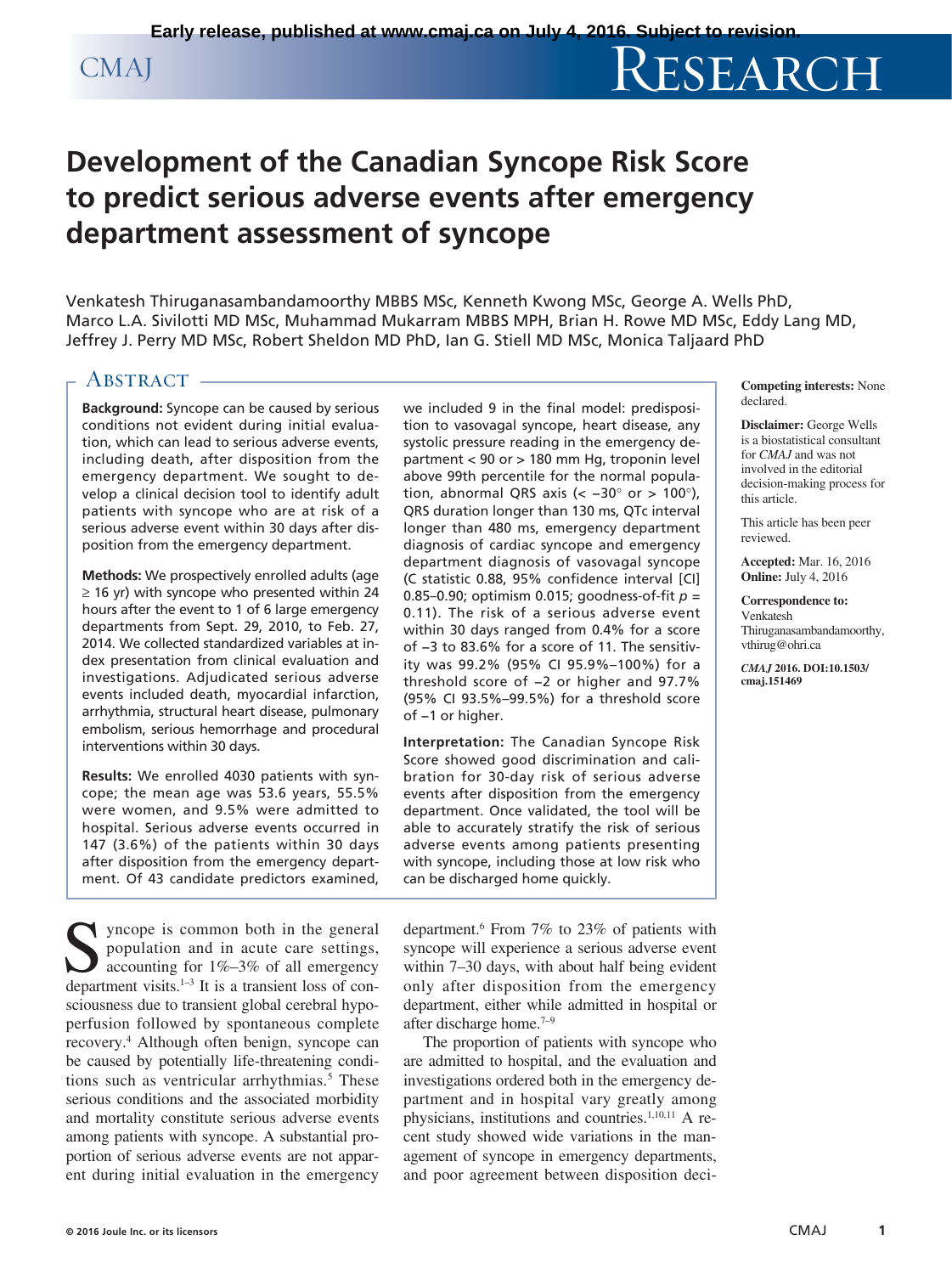# CMAJ RESEARCH

## **Development of the Canadian Syncope Risk Score to predict serious adverse events after emergency department assessment of syncope**

Venkatesh Thiruganasambandamoorthy MBBS MSc, Kenneth Kwong MSc, George A. Wells PhD, Marco L.A. Sivilotti MD MSc, Muhammad Mukarram MBBS MPH, Brian H. Rowe MD MSc, Eddy Lang MD, Jeffrey J. Perry MD MSc, Robert Sheldon MD PhD, Ian G. Stiell MD MSc, Monica Taljaard PhD

### ABSTRACT -

**Background:** Syncope can be caused by serious conditions not evident during initial evaluation, which can lead to serious adverse events, including death, after disposition from the emergency department. We sought to develop a clinical decision tool to identify adult patients with syncope who are at risk of a serious adverse event within 30 days after disposition from the emergency department.

**Methods:** We prospectively enrolled adults (age  $\geq$  16 yr) with syncope who presented within 24 hours after the event to 1 of 6 large emergency departments from Sept. 29, 2010, to Feb. 27, 2014. We collected standardized variables at index presentation from clinical evaluation and investigations. Adjudicated serious adverse events included death, myocardial infarction, arrhythmia, structural heart disease, pulmonary embolism, serious hemorrhage and procedural interventions within 30 days.

**Results:** We enrolled 4030 patients with syncope; the mean age was 53.6 years, 55.5% were women, and 9.5% were admitted to hospital. Serious adverse events occurred in 147 (3.6%) of the patients within 30 days after disposition from the emergency department. Of 43 candidate predictors examined,

Syncope is common both in the general population and in acute care settings, accounting for 1%–3% of all emergency department visits. $1-3$  It is a transient loss of consciousness due to transient global cerebral hypoperfusion followed by spontaneous complete recovery.4 Although often benign, syncope can be caused by potentially life-threatening conditions such as ventricular arrhythmias.<sup>5</sup> These serious conditions and the associated morbidity and mortality constitute serious adverse events among patients with syncope. A substantial proportion of serious adverse events are not apparent during initial evaluation in the emergency

we included 9 in the final model: predisposition to vasovagal syncope, heart disease, any systolic pressure reading in the emergency department < 90 or > 180 mm Hg, troponin level above 99th percentile for the normal population, abnormal QRS axis (<  $-30^{\circ}$  or > 100°), QRS duration longer than 130 ms, QTc interval longer than 480 ms, emergency department diagnosis of cardiac syncope and emergency department diagnosis of vasovagal syncope (C statistic 0.88, 95% confidence interval [CI] 0.85–0.90; optimism 0.015; goodness-of-fit *p* = 0.11). The risk of a serious adverse event within 30 days ranged from 0.4% for a score of −3 to 83.6% for a score of 11. The sensitivity was 99.2% (95% CI 95.9%–100%) for a threshold score of −2 or higher and 97.7% (95% CI 93.5%–99.5%) for a threshold score of −1 or higher.

**Interpretation:** The Canadian Syncope Risk Score showed good discrimination and calibration for 30-day risk of serious adverse events after disposition from the emergency department. Once validated, the tool will be able to accurately stratify the risk of serious adverse events among patients presenting with syncope, including those at low risk who can be discharged home quickly.

department.6 From 7% to 23% of patients with syncope will experience a serious adverse event within 7–30 days, with about half being evident only after disposition from the emergency department, either while admitted in hospital or after discharge home.7–9

The proportion of patients with syncope who are admitted to hospital, and the evaluation and investigations ordered both in the emergency department and in hospital vary greatly among physicians, institutions and countries.<sup>1,10,11</sup> A recent study showed wide variations in the management of syncope in emergency departments, and poor agreement between disposition deci-

**Competing interests:** None declared.

**Disclaimer:** George Wells is a biostatistical consultant for *CMAJ* and was not involved in the editorial decision-making process for this article.

This article has been peer reviewed.

**Accepted:** Mar. 16, 2016 **Online:** July 4, 2016

**Correspondence to:** Venkatesh [Thiruganasambandamoorthy,](mailto:Thiruganasambandamoorthy,vthirug@ohri.ca)  vthirug@ohri.ca

*CMAJ* **2016. DOI:10.1503/ cmaj.151469**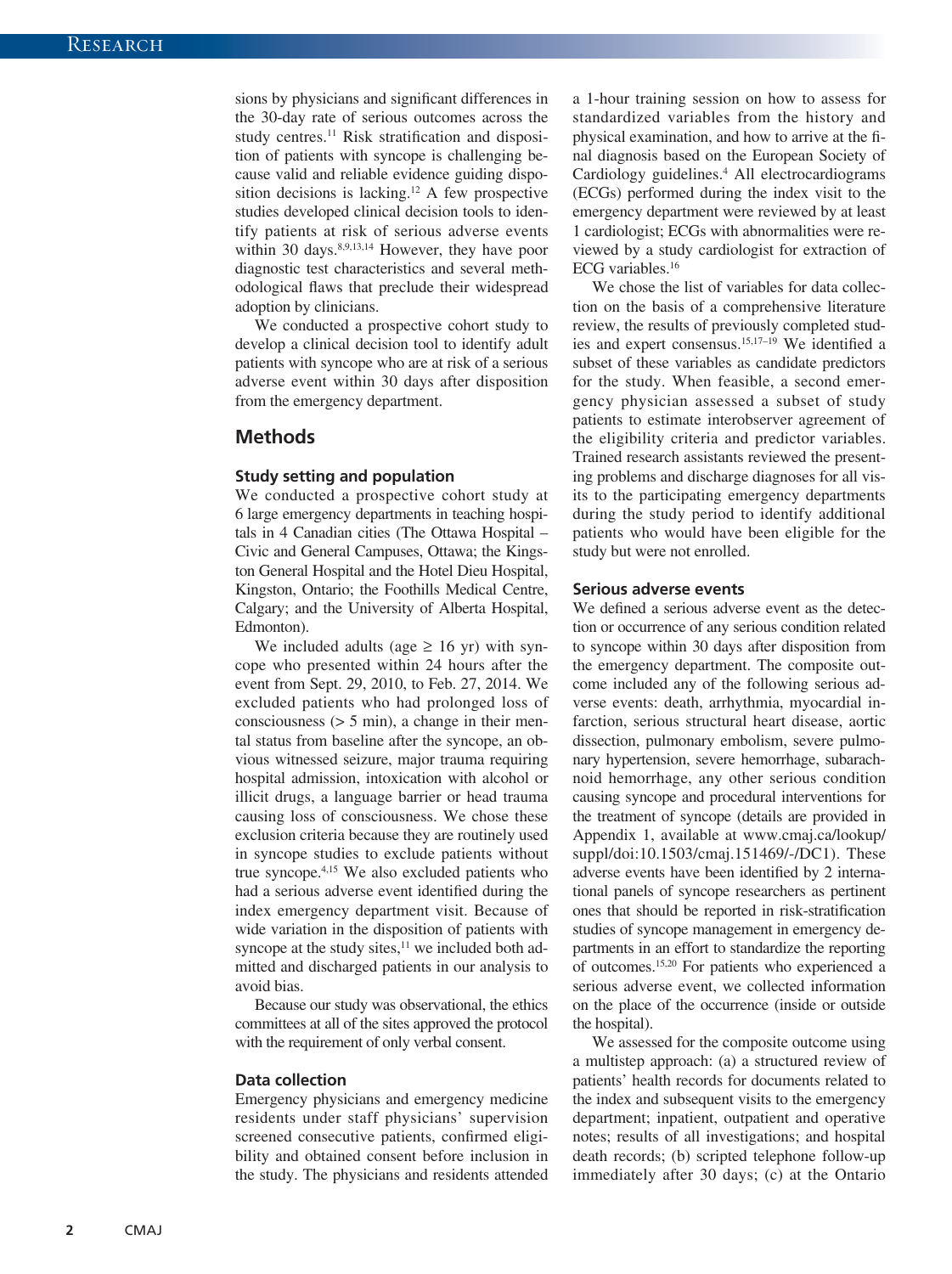sions by physicians and significant differences in the 30-day rate of serious outcomes across the study centres.<sup>11</sup> Risk stratification and disposition of patients with syncope is challenging because valid and reliable evidence guiding disposition decisions is lacking.12 A few prospective studies developed clinical decision tools to identify patients at risk of serious adverse events within 30 days. $8,9,13,14$  However, they have poor diagnostic test characteristics and several methodological flaws that preclude their widespread adoption by clinicians.

We conducted a prospective cohort study to develop a clinical decision tool to identify adult patients with syncope who are at risk of a serious adverse event within 30 days after disposition from the emergency department.

#### **Methods**

#### **Study setting and population**

We conducted a prospective cohort study at 6 large emergency departments in teaching hospitals in 4 Canadian cities (The Ottawa Hospital – Civic and General Campuses, Ottawa; the Kingston General Hospital and the Hotel Dieu Hospital, Kingston, Ontario; the Foothills Medical Centre, Calgary; and the University of Alberta Hospital, Edmonton).

We included adults (age  $\geq 16$  yr) with syncope who presented within 24 hours after the event from Sept. 29, 2010, to Feb. 27, 2014. We excluded patients who had prolonged loss of consciousness  $(> 5 \text{ min})$ , a change in their mental status from baseline after the syncope, an obvious witnessed seizure, major trauma requiring hospital admission, intoxication with alcohol or illicit drugs, a language barrier or head trauma causing loss of consciousness. We chose these exclusion criteria because they are routinely used in syncope studies to exclude patients without true syncope.4,15 We also excluded patients who had a serious adverse event identified during the index emergency department visit. Because of wide variation in the disposition of patients with syncope at the study sites, $11$  we included both admitted and discharged patients in our analysis to avoid bias.

Because our study was observational, the ethics committees at all of the sites approved the protocol with the requirement of only verbal consent.

#### **Data collection**

Emergency physicians and emergency medicine residents under staff physicians' supervision screened consecutive patients, confirmed eligibility and obtained consent before inclusion in the study. The physicians and residents attended a 1-hour training session on how to assess for standardized variables from the history and physical examination, and how to arrive at the final diagnosis based on the European Society of Cardiology guidelines.<sup>4</sup> All electrocardiograms (ECGs) performed during the index visit to the emergency department were reviewed by at least 1 cardiologist; ECGs with abnormalities were reviewed by a study cardiologist for extraction of ECG variables.16

We chose the list of variables for data collection on the basis of a comprehensive literature review, the results of previously completed studies and expert consensus.15,17–19 We identified a subset of these variables as candidate predictors for the study. When feasible, a second emergency physician assessed a subset of study patients to estimate interobserver agreement of the eligibility criteria and predictor variables. Trained research assistants reviewed the presenting problems and discharge diagnoses for all visits to the participating emergency departments during the study period to identify additional patients who would have been eligible for the study but were not enrolled.

#### **Serious adverse events**

We defined a serious adverse event as the detection or occurrence of any serious condition related to syncope within 30 days after disposition from the emergency department. The composite outcome included any of the following serious adverse events: death, arrhythmia, myocardial infarction, serious structural heart disease, aortic dissection, pulmonary embolism, severe pulmonary hypertension, severe hemorrhage, subarachnoid hemorrhage, any other serious condition causing syncope and procedural interventions for the treatment of syncope (details are provided in Appendix 1, available at [www.cmaj.ca/lookup/](http://www.cmaj.ca/lookup/suppl/doi:10.1503/cmaj.151469/-/DC1) [suppl/doi:10.1503/cmaj.151469/-/DC1](http://www.cmaj.ca/lookup/suppl/doi:10.1503/cmaj.151469/-/DC1)). These adverse events have been identified by 2 international panels of syncope researchers as pertinent ones that should be reported in risk-stratification studies of syncope management in emergency departments in an effort to standardize the reporting of outcomes.15,20 For patients who experienced a serious adverse event, we collected information on the place of the occurrence (inside or outside the hospital).

We assessed for the composite outcome using a multistep approach: (a) a structured review of patients' health records for documents related to the index and subsequent visits to the emergency department; inpatient, outpatient and operative notes; results of all investigations; and hospital death records; (b) scripted telephone follow-up immediately after 30 days; (c) at the Ontario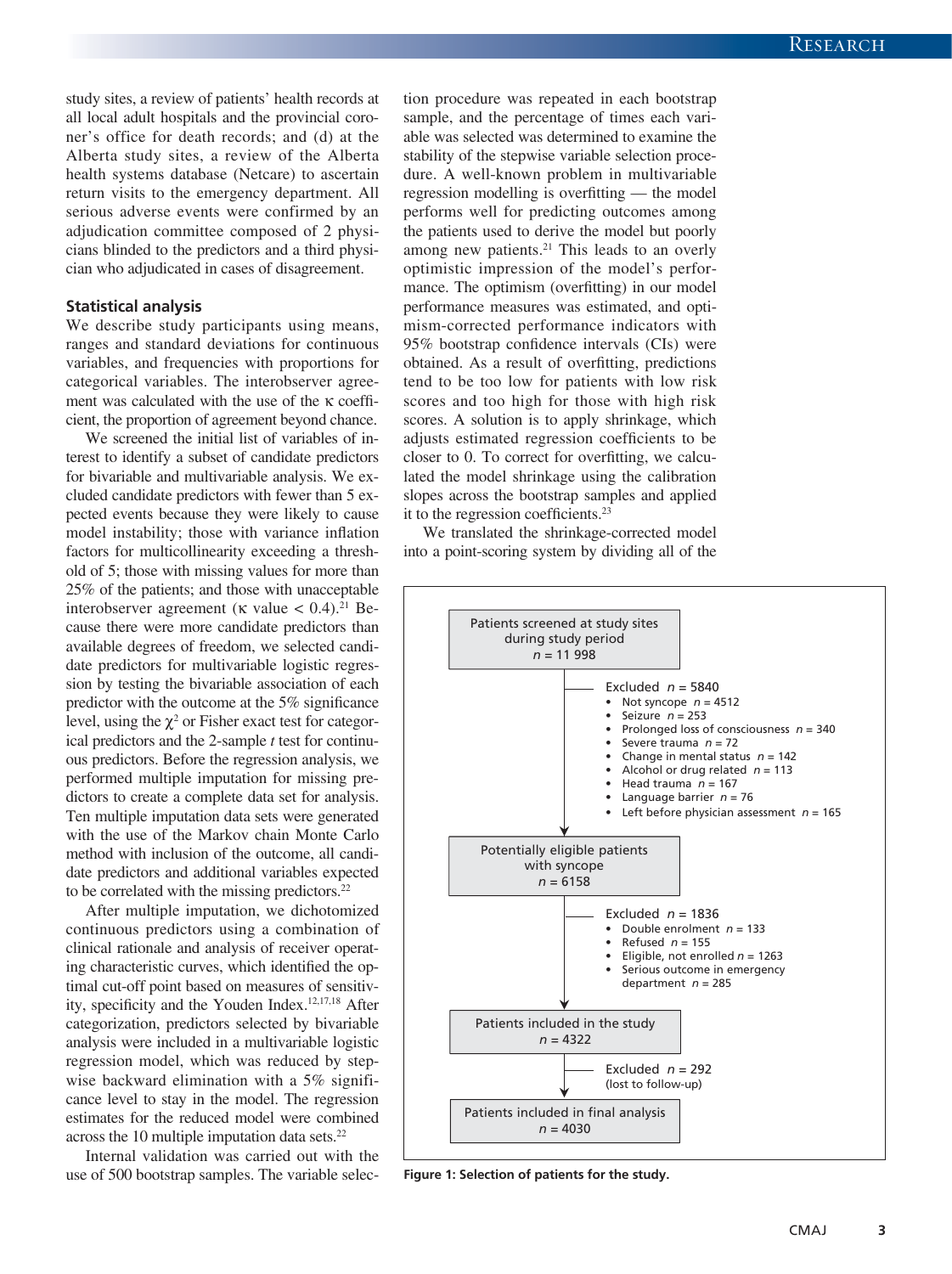study sites, a review of patients' health records at all local adult hospitals and the provincial coroner's office for death records; and (d) at the Alberta study sites, a review of the Alberta health systems database (Netcare) to ascertain return visits to the emergency department. All serious adverse events were confirmed by an adjudication committee composed of 2 physicians blinded to the predictors and a third physician who adjudicated in cases of disagreement.

#### **Statistical analysis**

We describe study participants using means, ranges and standard deviations for continuous variables, and frequencies with proportions for categorical variables. The interobserver agreement was calculated with the use of the κ coefficient, the proportion of agreement beyond chance.

We screened the initial list of variables of interest to identify a subset of candidate predictors for bivariable and multivariable analysis. We excluded candidate predictors with fewer than 5 expected events because they were likely to cause model instability; those with variance inflation factors for multicollinearity exceeding a threshold of 5; those with missing values for more than 25% of the patients; and those with unacceptable interobserver agreement (κ value  $< 0.4$ ).<sup>21</sup> Because there were more candidate predictors than available degrees of freedom, we selected candidate predictors for multivariable logistic regression by testing the bivariable association of each predictor with the outcome at the 5% significance level, using the  $\chi^2$  or Fisher exact test for categorical predictors and the 2-sample *t* test for continuous predictors. Before the regression analysis, we performed multiple imputation for missing predictors to create a complete data set for analysis. Ten multiple imputation data sets were generated with the use of the Markov chain Monte Carlo method with inclusion of the outcome, all candidate predictors and additional variables expected to be correlated with the missing predictors.<sup>22</sup>

After multiple imputation, we dichotomized continuous predictors using a combination of clinical rationale and analysis of receiver operating characteristic curves, which identified the optimal cut-off point based on measures of sensitivity, specificity and the Youden Index.12,17,18 After categorization, predictors selected by bivariable analysis were included in a multivariable logistic regression model, which was reduced by stepwise backward elimination with a 5% significance level to stay in the model. The regression estimates for the reduced model were combined across the 10 multiple imputation data sets. $22$ 

Internal validation was carried out with the use of 500 bootstrap samples. The variable selection procedure was repeated in each bootstrap sample, and the percentage of times each variable was selected was determined to examine the stability of the stepwise variable selection procedure. A well-known problem in multivariable regression modelling is overfitting — the model performs well for predicting outcomes among the patients used to derive the model but poorly among new patients.<sup>21</sup> This leads to an overly optimistic impression of the model's performance. The optimism (overfitting) in our model performance measures was estimated, and optimism-corrected performance indicators with 95% bootstrap confidence intervals (CIs) were obtained. As a result of overfitting, predictions tend to be too low for patients with low risk scores and too high for those with high risk scores. A solution is to apply shrinkage, which adjusts estimated regression coefficients to be closer to 0. To correct for overfitting, we calculated the model shrinkage using the calibration slopes across the bootstrap samples and applied it to the regression coefficients.<sup>23</sup>

We translated the shrinkage-corrected model into a point-scoring system by dividing all of the



**Figure 1: Selection of patients for the study.**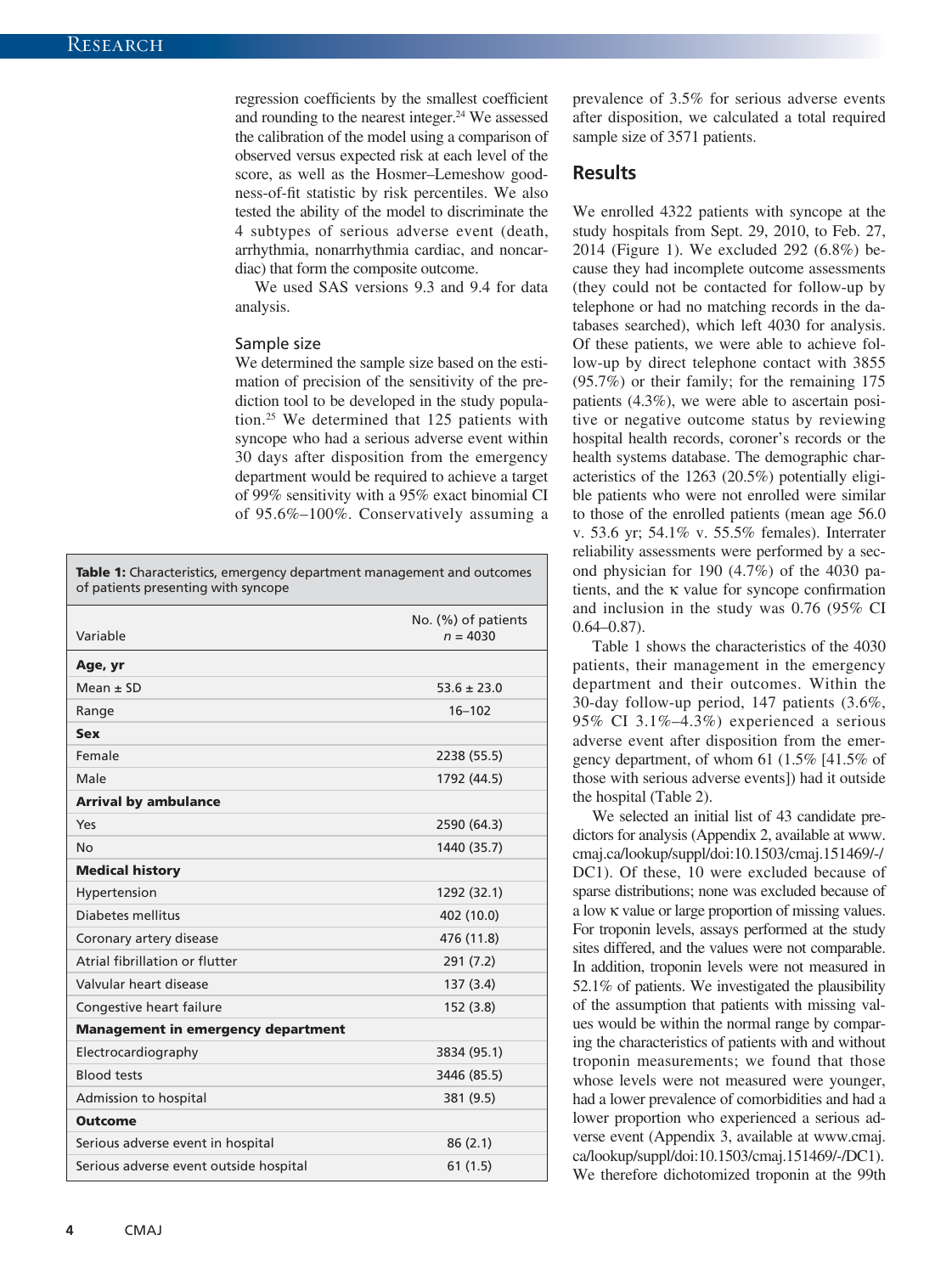regression coefficients by the smallest coefficient and rounding to the nearest integer.<sup>24</sup> We assessed the calibration of the model using a comparison of observed versus expected risk at each level of the score, as well as the Hosmer–Lemeshow goodness-of-fit statistic by risk percentiles. We also tested the ability of the model to discriminate the 4 subtypes of serious adverse event (death, arrhythmia, nonarrhythmia cardiac, and noncardiac) that form the composite outcome.

We used SAS versions 9.3 and 9.4 for data analysis.

#### Sample size

We determined the sample size based on the estimation of precision of the sensitivity of the prediction tool to be developed in the study population.25 We determined that 125 patients with syncope who had a serious adverse event within 30 days after disposition from the emergency department would be required to achieve a target of 99% sensitivity with a 95% exact binomial CI of 95.6%–100%. Conservatively assuming a

Table 1: Characteristics, emergency department management and outcomes of patients presenting with syncope

|                                           | No. (%) of patients |
|-------------------------------------------|---------------------|
| Variable                                  | $n = 4030$          |
| Age, yr                                   |                     |
| $Mean \pm SD$                             | $53.6 \pm 23.0$     |
| Range                                     | $16 - 102$          |
| <b>Sex</b>                                |                     |
| Female                                    | 2238 (55.5)         |
| Male                                      | 1792 (44.5)         |
| <b>Arrival by ambulance</b>               |                     |
| Yes                                       | 2590 (64.3)         |
| No                                        | 1440 (35.7)         |
| <b>Medical history</b>                    |                     |
| Hypertension                              | 1292 (32.1)         |
| Diabetes mellitus                         | 402 (10.0)          |
| Coronary artery disease                   | 476 (11.8)          |
| Atrial fibrillation or flutter            | 291 (7.2)           |
| Valvular heart disease                    | 137 (3.4)           |
| Congestive heart failure                  | 152 (3.8)           |
| <b>Management in emergency department</b> |                     |
| Electrocardiography                       | 3834 (95.1)         |
| <b>Blood tests</b>                        | 3446 (85.5)         |
| Admission to hospital                     | 381 (9.5)           |
| <b>Outcome</b>                            |                     |
| Serious adverse event in hospital         | 86(2.1)             |
| Serious adverse event outside hospital    | 61(1.5)             |

prevalence of 3.5% for serious adverse events after disposition, we calculated a total required sample size of 3571 patients.

#### **Results**

We enrolled 4322 patients with syncope at the study hospitals from Sept. 29, 2010, to Feb. 27, 2014 (Figure 1). We excluded 292 (6.8%) because they had incomplete outcome assessments (they could not be contacted for follow-up by telephone or had no matching records in the databases searched), which left 4030 for analysis. Of these patients, we were able to achieve follow-up by direct telephone contact with 3855 (95.7%) or their family; for the remaining 175 patients (4.3%), we were able to ascertain positive or negative outcome status by reviewing hospital health records, coroner's records or the health systems database. The demographic characteristics of the 1263 (20.5%) potentially eligible patients who were not enrolled were similar to those of the enrolled patients (mean age 56.0 v. 53.6 yr; 54.1% v. 55.5% females). Interrater reliability assessments were performed by a second physician for 190 (4.7%) of the 4030 patients, and the κ value for syncope confirmation and inclusion in the study was 0.76 (95% CI 0.64–0.87).

Table 1 shows the characteristics of the 4030 patients, their management in the emergency department and their outcomes. Within the 30-day follow-up period, 147 patients (3.6%, 95% CI 3.1%–4.3%) experienced a serious adverse event after disposition from the emergency department, of whom 61 (1.5% [41.5% of those with serious adverse events]) had it outside the hospital (Table 2).

We selected an initial list of 43 candidate predictors for analysis (Appendix 2, available at [www.](http://www.cmaj.ca/lookup/suppl/doi:10.1503/cmaj.151469/-/DC1) [cmaj.ca/lookup/suppl/doi:10.1503/cmaj.151469/-/](http://www.cmaj.ca/lookup/suppl/doi:10.1503/cmaj.151469/-/DC1) [DC1\)](http://www.cmaj.ca/lookup/suppl/doi:10.1503/cmaj.151469/-/DC1). Of these, 10 were excluded because of sparse distributions; none was excluded because of a low κ value or large proportion of missing values. For troponin levels, assays performed at the study sites differed, and the values were not comparable. In addition, troponin levels were not measured in 52.1% of patients. We investigated the plausibility of the assumption that patients with missing values would be within the normal range by comparing the characteristics of patients with and without troponin measurements; we found that those whose levels were not measured were younger, had a lower prevalence of comorbidities and had a lower proportion who experienced a serious adverse event (Appendix 3, available at [www.cmaj.](http://www.cmaj.ca/lookup/suppl/doi:10.1503/cmaj.151469/-/DC1) [ca/lookup/suppl/doi:10.1503/cmaj.151469/-/DC1\)](http://www.cmaj.ca/lookup/suppl/doi:10.1503/cmaj.151469/-/DC1). We therefore dichotomized troponin at the 99th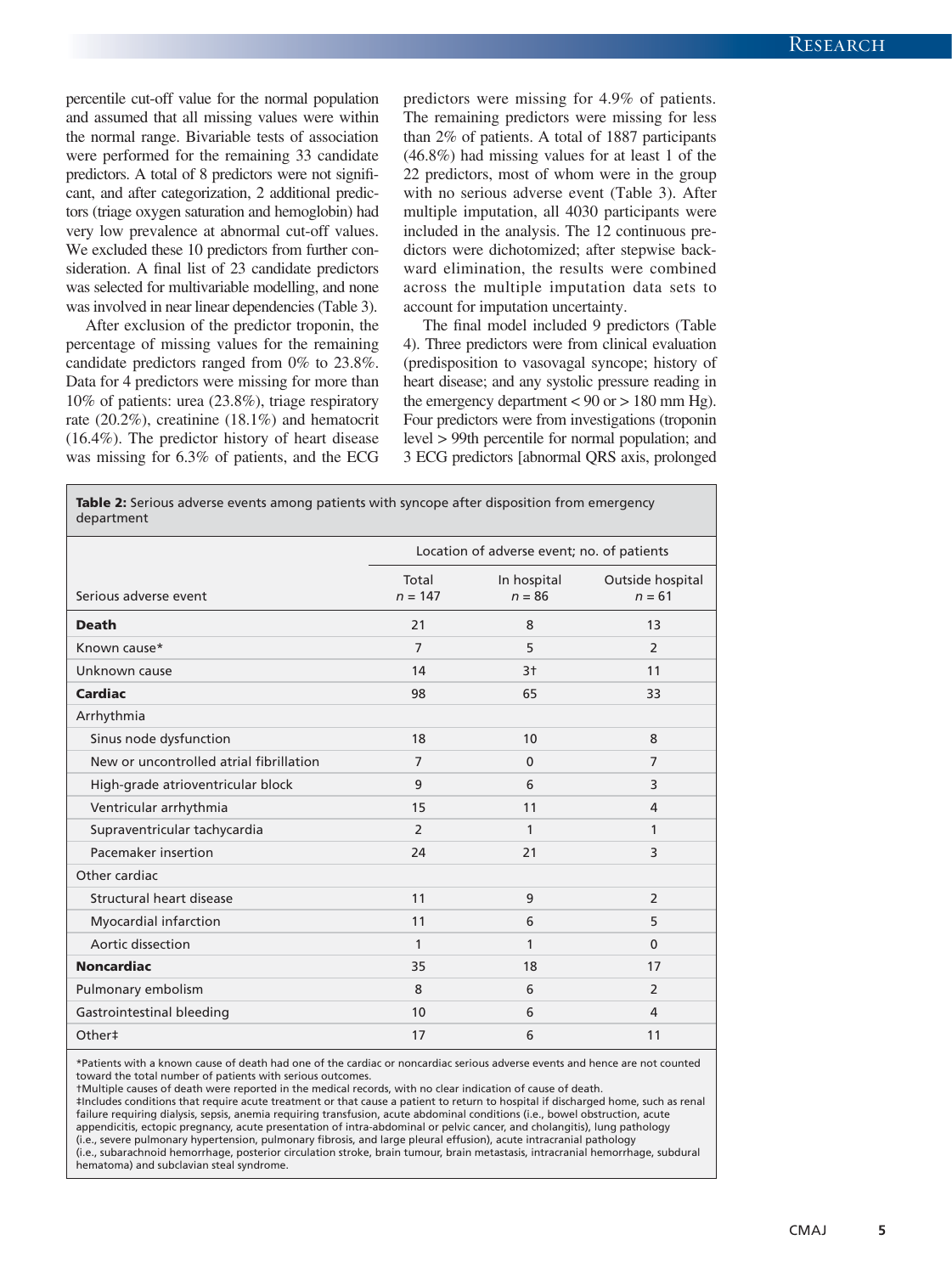percentile cut-off value for the normal population and assumed that all missing values were within the normal range. Bivariable tests of association were performed for the remaining 33 candidate predictors. A total of 8 predictors were not significant, and after categorization, 2 additional predictors (triage oxygen saturation and hemoglobin) had very low prevalence at abnormal cut-off values. We excluded these 10 predictors from further consideration. A final list of 23 candidate predictors was selected for multivariable modelling, and none was involved in near linear dependencies (Table 3).

After exclusion of the predictor troponin, the percentage of missing values for the remaining candidate predictors ranged from 0% to 23.8%. Data for 4 predictors were missing for more than 10% of patients: urea (23.8%), triage respiratory rate (20.2%), creatinine (18.1%) and hematocrit (16.4%). The predictor history of heart disease was missing for 6.3% of patients, and the ECG predictors were missing for 4.9% of patients. The remaining predictors were missing for less than 2% of patients. A total of 1887 participants (46.8%) had missing values for at least 1 of the 22 predictors, most of whom were in the group with no serious adverse event (Table 3). After multiple imputation, all 4030 participants were included in the analysis. The 12 continuous predictors were dichotomized; after stepwise backward elimination, the results were combined across the multiple imputation data sets to account for imputation uncertainty.

The final model included 9 predictors (Table 4). Three predictors were from clinical evaluation (predisposition to vasovagal syncope; history of heart disease; and any systolic pressure reading in the emergency department  $< 90$  or  $> 180$  mm Hg). Four predictors were from investigations (troponin level > 99th percentile for normal population; and 3 ECG predictors [abnormal QRS axis, prolonged

| Table 2: Serious adverse events among patients with syncope after disposition from emergency<br>department |                                            |                         |                              |
|------------------------------------------------------------------------------------------------------------|--------------------------------------------|-------------------------|------------------------------|
|                                                                                                            | Location of adverse event; no. of patients |                         |                              |
| Serious adverse event                                                                                      | Total<br>$n = 147$                         | In hospital<br>$n = 86$ | Outside hospital<br>$n = 61$ |
| <b>Death</b>                                                                                               | 21                                         | 8                       | 13                           |
| Known cause*                                                                                               | $\overline{7}$                             | 5                       | 2                            |
| Unknown cause                                                                                              | 14                                         | 3 <sup>†</sup>          | 11                           |
| Cardiac                                                                                                    | 98                                         | 65                      | 33                           |
| Arrhythmia                                                                                                 |                                            |                         |                              |
| Sinus node dysfunction                                                                                     | 18                                         | 10                      | 8                            |
| New or uncontrolled atrial fibrillation                                                                    | $\overline{7}$                             | $\Omega$                | $\overline{7}$               |
| High-grade atrioventricular block                                                                          | 9                                          | 6                       | 3                            |
| Ventricular arrhythmia                                                                                     | 15                                         | 11                      | 4                            |
| Supraventricular tachycardia                                                                               | $\overline{2}$                             | 1                       | 1                            |
| Pacemaker insertion                                                                                        | 24                                         | 21                      | 3                            |
| Other cardiac                                                                                              |                                            |                         |                              |
| Structural heart disease                                                                                   | 11                                         | 9                       | $\overline{2}$               |
| Myocardial infarction                                                                                      | 11                                         | 6                       | 5                            |
| Aortic dissection                                                                                          | $\mathbf{1}$                               | $\mathbf{1}$            | $\Omega$                     |
| <b>Noncardiac</b>                                                                                          | 35                                         | 18                      | 17                           |
| Pulmonary embolism                                                                                         | 8                                          | 6                       | $\overline{2}$               |
| Gastrointestinal bleeding                                                                                  | 10                                         | 6                       | 4                            |
| Other‡                                                                                                     | 17                                         | 6                       | 11                           |

\*Patients with a known cause of death had one of the cardiac or noncardiac serious adverse events and hence are not counted toward the total number of patients with serious outcomes.

†Multiple causes of death were reported in the medical records, with no clear indication of cause of death.

‡Includes conditions that require acute treatment or that cause a patient to return to hospital if discharged home, such as renal failure requiring dialysis, sepsis, anemia requiring transfusion, acute abdominal conditions (i.e., bowel obstruction, acute appendicitis, ectopic pregnancy, acute presentation of intra-abdominal or pelvic cancer, and cholangitis), lung pathology (i.e., severe pulmonary hypertension, pulmonary fibrosis, and large pleural effusion), acute intracranial pathology

(i.e., subarachnoid hemorrhage, posterior circulation stroke, brain tumour, brain metastasis, intracranial hemorrhage, subdural hematoma) and subclavian steal syndrome.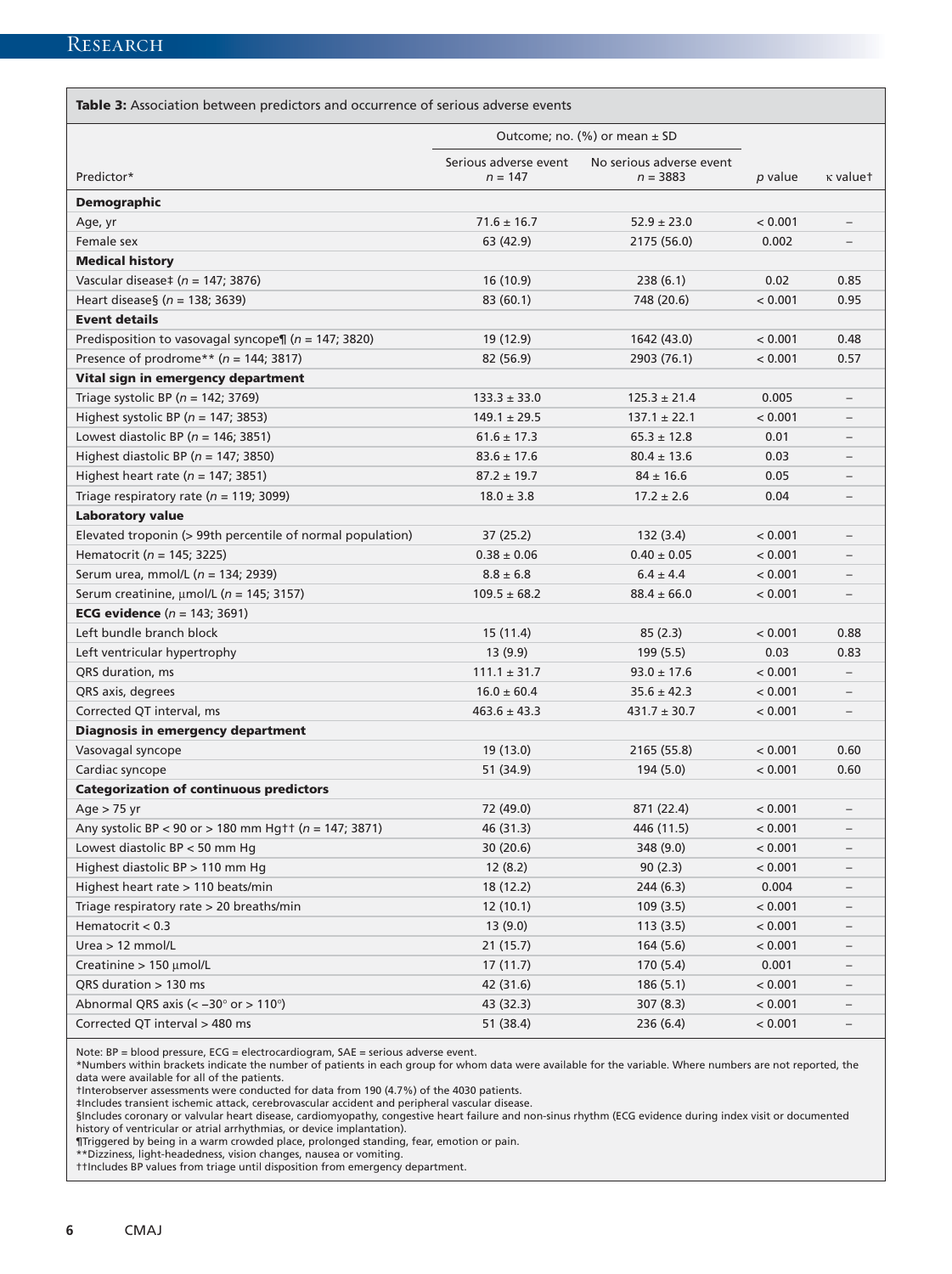Table 3: Association between predictors and occurrence of serious adverse events

|                                                            | Outcome; no. (%) or mean $\pm$ SD |                          |         |                          |
|------------------------------------------------------------|-----------------------------------|--------------------------|---------|--------------------------|
|                                                            | Serious adverse event             | No serious adverse event |         |                          |
| Predictor*                                                 | $n = 147$                         | $n = 3883$               | p value | κ valuet                 |
| <b>Demographic</b>                                         |                                   |                          |         |                          |
| Age, yr                                                    | $71.6 \pm 16.7$                   | $52.9 \pm 23.0$          | < 0.001 | $\overline{\phantom{0}}$ |
| Female sex                                                 | 63 (42.9)                         | 2175 (56.0)              | 0.002   |                          |
| <b>Medical history</b>                                     |                                   |                          |         |                          |
| Vascular disease‡ ( $n = 147$ ; 3876)                      | 16 (10.9)                         | 238(6.1)                 | 0.02    | 0.85                     |
| Heart disease§ ( $n = 138$ ; 3639)                         | 83 (60.1)                         | 748 (20.6)               | < 0.001 | 0.95                     |
| <b>Event details</b>                                       |                                   |                          |         |                          |
| Predisposition to vasovagal syncope¶ ( $n = 147$ ; 3820)   | 19 (12.9)                         | 1642 (43.0)              | < 0.001 | 0.48                     |
| Presence of prodrome** ( $n = 144$ ; 3817)                 | 82 (56.9)                         | 2903 (76.1)              | < 0.001 | 0.57                     |
| Vital sign in emergency department                         |                                   |                          |         |                          |
| Triage systolic BP ( $n = 142$ ; 3769)                     | $133.3 \pm 33.0$                  | $125.3 \pm 21.4$         | 0.005   | $\overline{\phantom{a}}$ |
| Highest systolic BP ( $n = 147$ ; 3853)                    | $149.1 \pm 29.5$                  | $137.1 \pm 22.1$         | < 0.001 | $\equiv$                 |
| Lowest diastolic BP ( $n = 146$ ; 3851)                    | $61.6 \pm 17.3$                   | $65.3 \pm 12.8$          | 0.01    | $\overline{\phantom{0}}$ |
| Highest diastolic BP ( $n = 147$ ; 3850)                   | $83.6 \pm 17.6$                   | $80.4 \pm 13.6$          | 0.03    |                          |
| Highest heart rate ( $n = 147$ ; 3851)                     | $87.2 \pm 19.7$                   | $84 \pm 16.6$            | 0.05    |                          |
| Triage respiratory rate ( $n = 119$ ; 3099)                | $18.0 \pm 3.8$                    | $17.2 \pm 2.6$           | 0.04    |                          |
| <b>Laboratory value</b>                                    |                                   |                          |         |                          |
| Elevated troponin (> 99th percentile of normal population) | 37 (25.2)                         | 132 (3.4)                | < 0.001 | $\overline{\phantom{0}}$ |
| Hematocrit (n = 145; 3225)                                 | $0.38 \pm 0.06$                   | $0.40 \pm 0.05$          | < 0.001 |                          |
| Serum urea, mmol/L ( $n = 134$ ; 2939)                     | $8.8 \pm 6.8$                     | $6.4 \pm 4.4$            | < 0.001 | $\overline{\phantom{0}}$ |
| Serum creatinine, $\mu$ mol/L ( $n = 145$ ; 3157)          | $109.5 \pm 68.2$                  | $88.4 \pm 66.0$          | < 0.001 | $\overline{\phantom{0}}$ |
| <b>ECG evidence</b> $(n = 143; 3691)$                      |                                   |                          |         |                          |
| Left bundle branch block                                   | 15(11.4)                          | 85(2.3)                  | < 0.001 | 0.88                     |
| Left ventricular hypertrophy                               | 13 (9.9)                          | 199(5.5)                 | 0.03    | 0.83                     |
| QRS duration, ms                                           | $111.1 \pm 31.7$                  | $93.0 \pm 17.6$          | < 0.001 | $\overline{\phantom{0}}$ |
| QRS axis, degrees                                          | $16.0 \pm 60.4$                   | $35.6 \pm 42.3$          | < 0.001 | $\overline{\phantom{0}}$ |
| Corrected QT interval, ms                                  | $463.6 \pm 43.3$                  | $431.7 \pm 30.7$         | < 0.001 |                          |
| <b>Diagnosis in emergency department</b>                   |                                   |                          |         |                          |
| Vasovagal syncope                                          | 19 (13.0)                         | 2165 (55.8)              | < 0.001 | 0.60                     |
| Cardiac syncope                                            | 51 (34.9)                         | 194(5.0)                 | < 0.001 | 0.60                     |
| <b>Categorization of continuous predictors</b>             |                                   |                          |         |                          |
| Age $> 75$ yr                                              | 72 (49.0)                         | 871 (22.4)               | < 0.001 |                          |
| Any systolic BP < 90 or > 180 mm Hgtt ( $n = 147$ ; 3871)  | 46 (31.3)                         | 446 (11.5)               | < 0.001 |                          |
| Lowest diastolic BP < 50 mm Hg                             | 30 (20.6)                         | 348 (9.0)                | < 0.001 |                          |
| Highest diastolic BP > 110 mm Hg                           | 12(8.2)                           | 90(2.3)                  | < 0.001 |                          |
| Highest heart rate > 110 beats/min                         | 18 (12.2)                         | 244(6.3)                 | 0.004   |                          |
| Triage respiratory rate > 20 breaths/min                   | 12(10.1)                          | 109(3.5)                 | < 0.001 |                          |
| Hematocrit $< 0.3$                                         | 13(9.0)                           | 113(3.5)                 | < 0.001 |                          |
| Urea $> 12$ mmol/L                                         | 21(15.7)                          | 164(5.6)                 | < 0.001 |                          |
| Creatinine > 150 µmol/L                                    | 17(11.7)                          | 170(5.4)                 | 0.001   | $\qquad \qquad -$        |
| QRS duration > 130 ms                                      | 42 (31.6)                         | 186(5.1)                 | < 0.001 |                          |
| Abnormal QRS axis (< -30° or > 110°)                       | 43 (32.3)                         | 307(8.3)                 | < 0.001 |                          |
| Corrected QT interval > 480 ms                             | 51 (38.4)                         | 236(6.4)                 | < 0.001 |                          |
|                                                            |                                   |                          |         |                          |

Note: BP = blood pressure, ECG = electrocardiogram, SAE = serious adverse event.

\*Numbers within brackets indicate the number of patients in each group for whom data were available for the variable. Where numbers are not reported, the data were available for all of the patients.

†Interobserver assessments were conducted for data from 190 (4.7%) of the 4030 patients.

‡Includes transient ischemic attack, cerebrovascular accident and peripheral vascular disease.

§Includes coronary or valvular heart disease, cardiomyopathy, congestive heart failure and non-sinus rhythm (ECG evidence during index visit or documented history of ventricular or atrial arrhythmias, or device implantation).

¶Triggered by being in a warm crowded place, prolonged standing, fear, emotion or pain.

\*\*Dizziness, light-headedness, vision changes, nausea or vomiting.

††Includes BP values from triage until disposition from emergency department.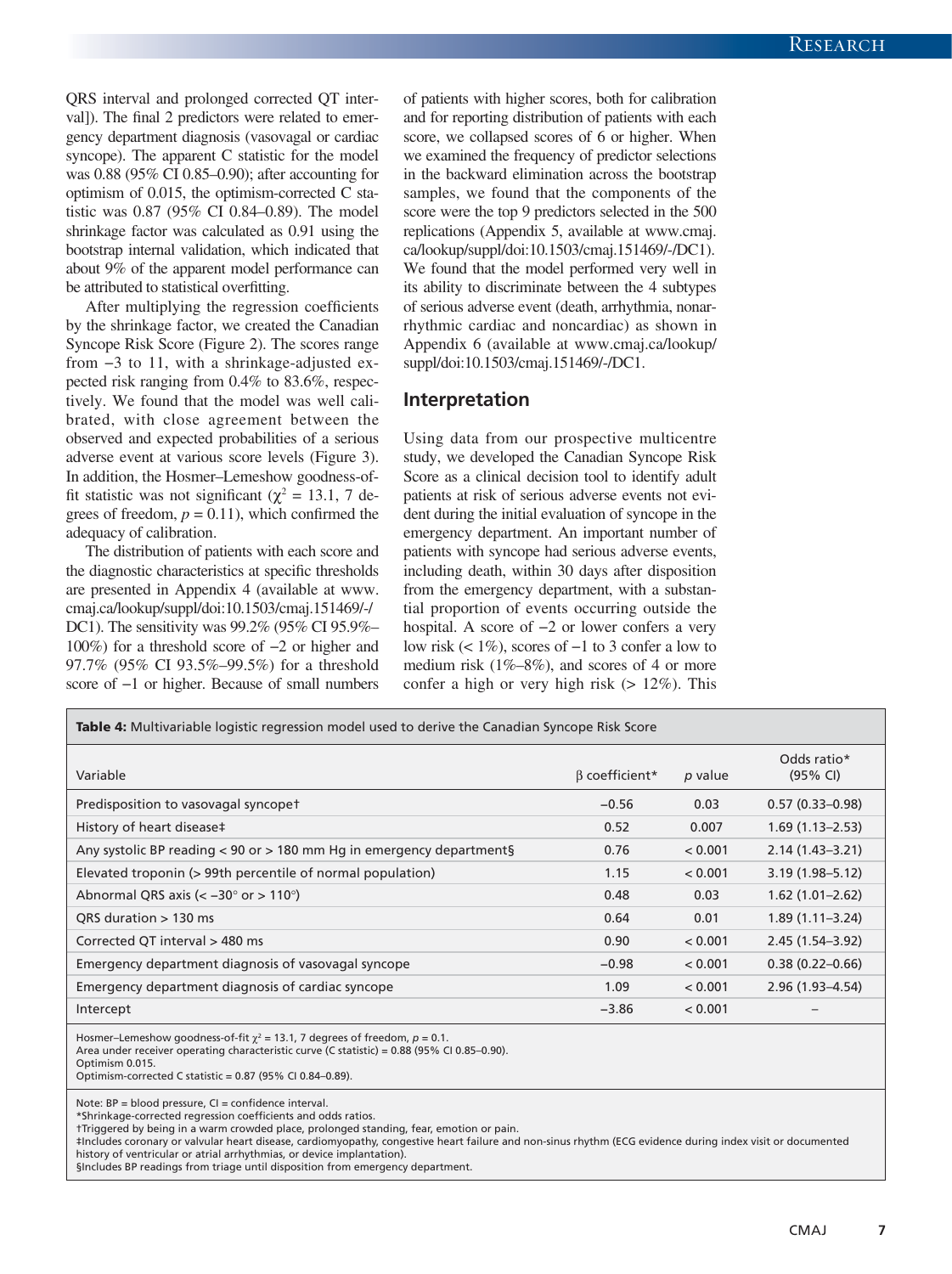QRS interval and prolonged corrected QT interval]). The final 2 predictors were related to emergency department diagnosis (vasovagal or cardiac syncope). The apparent C statistic for the model was 0.88 (95% CI 0.85–0.90); after accounting for optimism of 0.015, the optimism-corrected C statistic was 0.87 (95% CI 0.84–0.89). The model shrinkage factor was calculated as 0.91 using the bootstrap internal validation, which indicated that about 9% of the apparent model performance can be attributed to statistical overfitting.

After multiplying the regression coefficients by the shrinkage factor, we created the Canadian Syncope Risk Score (Figure 2). The scores range from −3 to 11, with a shrinkage-adjusted expected risk ranging from 0.4% to 83.6%, respectively. We found that the model was well calibrated, with close agreement between the observed and expected probabilities of a serious adverse event at various score levels (Figure 3). In addition, the Hosmer–Lemeshow goodness-offit statistic was not significant ( $\chi^2 = 13.1$ , 7 degrees of freedom,  $p = 0.11$ ), which confirmed the adequacy of calibration.

The distribution of patients with each score and the diagnostic characteristics at specific thresholds are presented in Appendix 4 (available at [www.](http://www.cmaj.ca/lookup/suppl/doi:10.1503/cmaj.151469/-/DC1) [cmaj.ca/lookup/suppl/doi:10.1503/cmaj.151469/-/](http://www.cmaj.ca/lookup/suppl/doi:10.1503/cmaj.151469/-/DC1) [DC1](http://www.cmaj.ca/lookup/suppl/doi:10.1503/cmaj.151469/-/DC1)). The sensitivity was 99.2% (95% CI 95.9%– 100%) for a threshold score of −2 or higher and 97.7% (95% CI 93.5%–99.5%) for a threshold score of −1 or higher. Because of small numbers of patients with higher scores, both for calibration and for reporting distribution of patients with each score, we collapsed scores of 6 or higher. When we examined the frequency of predictor selections in the backward elimination across the bootstrap samples, we found that the components of the score were the top 9 predictors selected in the 500 replications (Appendix 5, available at [www.cmaj.](http://www.cmaj.ca/lookup/suppl/doi:10.1503/cmaj.151469/-/DC1) [ca/lookup/suppl/doi:10.1503/cmaj.151469/-/DC1\)](http://www.cmaj.ca/lookup/suppl/doi:10.1503/cmaj.151469/-/DC1). We found that the model performed very well in its ability to discriminate between the 4 subtypes of serious adverse event (death, arrhythmia, nonarrhythmic cardiac and noncardiac) as shown in Appendix 6 (available at [www.cmaj.ca/lookup/](http://www.cmaj.ca/lookup/suppl/doi:10.1503/cmaj.151469/-/DC1) [suppl/doi:10.1503/cmaj.151469/-/DC1.](http://www.cmaj.ca/lookup/suppl/doi:10.1503/cmaj.151469/-/DC1)

#### **Interpretation**

Using data from our prospective multicentre study, we developed the Canadian Syncope Risk Score as a clinical decision tool to identify adult patients at risk of serious adverse events not evident during the initial evaluation of syncope in the emergency department. An important number of patients with syncope had serious adverse events, including death, within 30 days after disposition from the emergency department, with a substantial proportion of events occurring outside the hospital. A score of −2 or lower confers a very low risk (< 1%), scores of −1 to 3 confer a low to medium risk (1%–8%), and scores of 4 or more confer a high or very high risk  $(> 12\%)$ . This

| <b>Table 4:</b> Multivariable logistic regression model used to derive the Canadian Syncope Risk Score                                                                                                                                                                |                      |         |                         |
|-----------------------------------------------------------------------------------------------------------------------------------------------------------------------------------------------------------------------------------------------------------------------|----------------------|---------|-------------------------|
| Variable                                                                                                                                                                                                                                                              | $\beta$ coefficient* | p value | Odds ratio*<br>(95% CI) |
| Predisposition to vasovagal syncopet                                                                                                                                                                                                                                  | $-0.56$              | 0.03    | $0.57(0.33 - 0.98)$     |
| History of heart disease‡                                                                                                                                                                                                                                             | 0.52                 | 0.007   | $1.69(1.13 - 2.53)$     |
| Any systolic BP reading $<$ 90 or $>$ 180 mm Hg in emergency departments                                                                                                                                                                                              | 0.76                 | < 0.001 | $2.14(1.43 - 3.21)$     |
| Elevated troponin (> 99th percentile of normal population)                                                                                                                                                                                                            | 1.15                 | < 0.001 | $3.19(1.98 - 5.12)$     |
| Abnormal QRS axis ( $\lt$ -30 $\degree$ or $> 110\degree$ )                                                                                                                                                                                                           | 0.48                 | 0.03    | $1.62(1.01 - 2.62)$     |
| QRS duration $> 130$ ms                                                                                                                                                                                                                                               | 0.64                 | 0.01    | $1.89(1.11 - 3.24)$     |
| Corrected QT interval > 480 ms                                                                                                                                                                                                                                        | 0.90                 | < 0.001 | $2.45(1.54 - 3.92)$     |
| Emergency department diagnosis of vasovagal syncope                                                                                                                                                                                                                   | $-0.98$              | < 0.001 | $0.38(0.22 - 0.66)$     |
| Emergency department diagnosis of cardiac syncope                                                                                                                                                                                                                     | 1.09                 | < 0.001 | $2.96(1.93 - 4.54)$     |
| Intercept                                                                                                                                                                                                                                                             | $-3.86$              | < 0.001 |                         |
| Hosmer–Lemeshow goodness-of-fit $\chi^2$ = 13.1, 7 degrees of freedom, $p = 0.1$ .<br>Area under receiver operating characteristic curve (C statistic) = $0.88$ (95% CI 0.85–0.90).<br>Optimism 0.015.<br>Optimism-corrected C statistic = $0.87$ (95% CI 0.84-0.89). |                      |         |                         |

Note: BP = blood pressure, CI = confidence interval. \*Shrinkage-corrected regression coefficients and odds ratios.

†Triggered by being in a warm crowded place, prolonged standing, fear, emotion or pain.

‡Includes coronary or valvular heart disease, cardiomyopathy, congestive heart failure and non-sinus rhythm (ECG evidence during index visit or documented history of ventricular or atrial arrhythmias, or device implantation).

§Includes BP readings from triage until disposition from emergency department.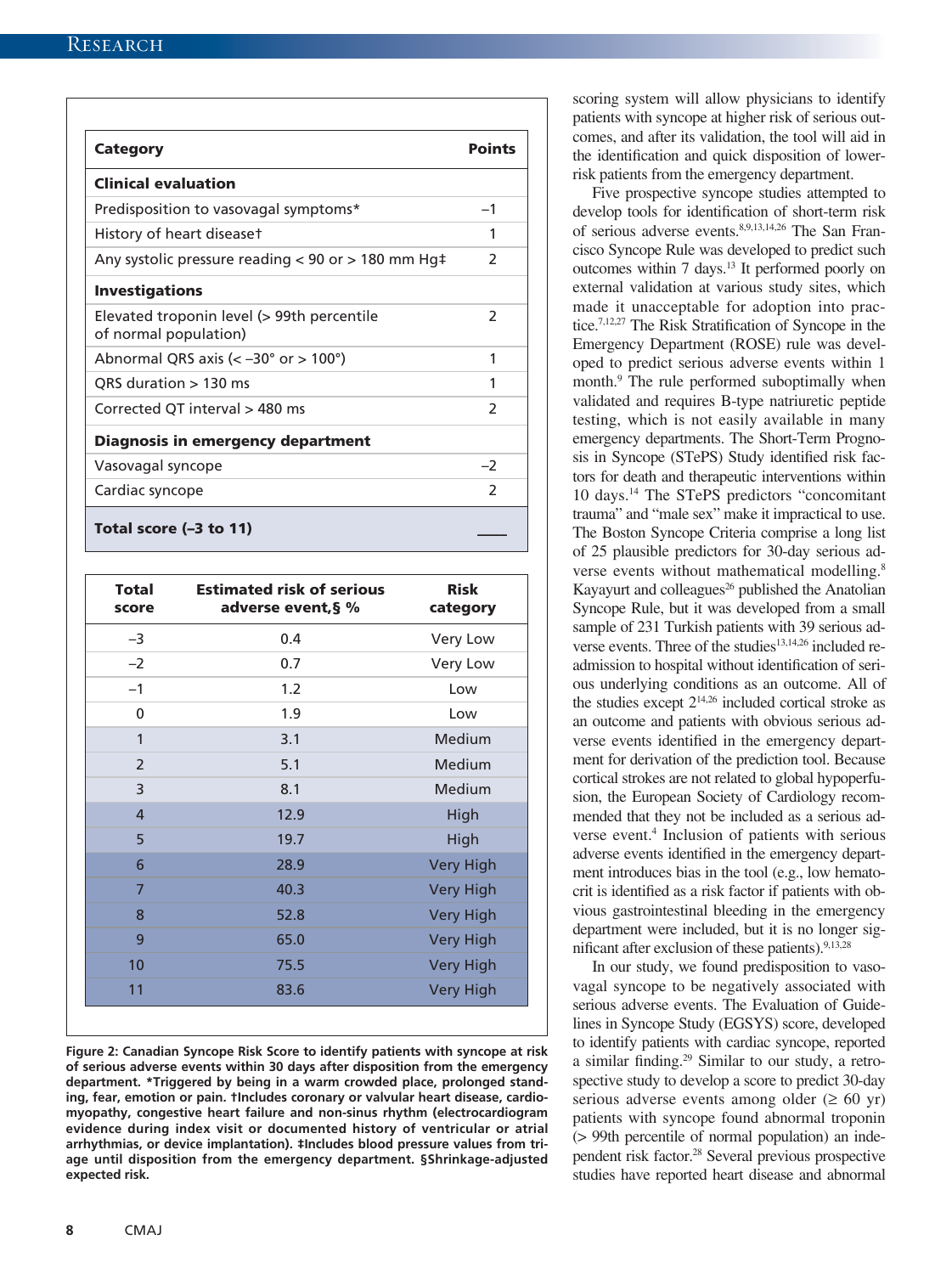| <b>Category</b>                                                     | <b>Points</b>  |
|---------------------------------------------------------------------|----------------|
| <b>Clinical evaluation</b>                                          |                |
| Predisposition to vasovagal symptoms*                               | $-1$           |
| History of heart diseaset                                           | 1              |
| Any systolic pressure reading < 90 or > 180 mm Hg‡                  | $\mathcal{P}$  |
| <b>Investigations</b>                                               |                |
| Elevated troponin level (> 99th percentile<br>of normal population) | $\mathcal{P}$  |
| Abnormal QRS axis ( $\lt$ -30 $\degree$ or $>$ 100 $\degree$ )      | 1              |
| QRS duration $> 130$ ms                                             | 1              |
| Corrected QT interval > 480 ms                                      | $\mathfrak{p}$ |
| Diagnosis in emergency department                                   |                |
| Vasovagal syncope                                                   | $-2$           |
| Cardiac syncope                                                     | $\mathcal{P}$  |
| Total score (-3 to 11)                                              |                |

| <b>Total</b><br>score | <b>Estimated risk of serious</b><br>adverse event, § % | <b>Risk</b><br>category |
|-----------------------|--------------------------------------------------------|-------------------------|
| $-3$                  | 0.4                                                    | Very Low                |
| $-2$                  | 0.7                                                    | Very Low                |
| $-1$                  | 1.2                                                    | Low                     |
| $\mathbf 0$           | 1.9                                                    | Low                     |
| 1                     | 3.1                                                    | Medium                  |
| $\overline{2}$        | 5.1                                                    | Medium                  |
| 3                     | 8.1                                                    | Medium                  |
| $\overline{4}$        | 12.9                                                   | High                    |
| 5                     | 19.7                                                   | High                    |
| 6                     | 28.9                                                   | <b>Very High</b>        |
| $\overline{7}$        | 40.3                                                   | <b>Very High</b>        |
| 8                     | 52.8                                                   | <b>Very High</b>        |
| 9                     | 65.0                                                   | <b>Very High</b>        |
| 10                    | 75.5                                                   | <b>Very High</b>        |
| 11                    | 83.6                                                   | <b>Very High</b>        |

**Figure 2: Canadian Syncope Risk Score to identify patients with syncope at risk of serious adverse events within 30 days after disposition from the emergency department. \*Triggered by being in a warm crowded place, prolonged standing, fear, emotion or pain. †Includes coronary or valvular heart disease, cardiomyopathy, congestive heart failure and non-sinus rhythm (electrocardiogram evidence during index visit or documented history of ventricular or atrial arrhythmias, or device implantation). ‡Includes blood pressure values from triage until disposition from the emergency department. §Shrinkage-adjusted expected risk.**

scoring system will allow physicians to identify patients with syncope at higher risk of serious outcomes, and after its validation, the tool will aid in the identification and quick disposition of lowerrisk patients from the emergency department.

Five prospective syncope studies attempted to develop tools for identification of short-term risk of serious adverse events.8,9,13,14,26 The San Francisco Syncope Rule was developed to predict such outcomes within 7 days.13 It performed poorly on external validation at various study sites, which made it unacceptable for adoption into practice.7,12,27 The Risk Stratification of Syncope in the Emergency Department (ROSE) rule was developed to predict serious adverse events within 1 month.<sup>9</sup> The rule performed suboptimally when validated and requires B-type natriuretic peptide testing, which is not easily available in many emergency departments. The Short-Term Prognosis in Syncope (STePS) Study identified risk factors for death and therapeutic interventions within 10 days.14 The STePS predictors "concomitant trauma" and "male sex" make it impractical to use. The Boston Syncope Criteria comprise a long list of 25 plausible predictors for 30-day serious adverse events without mathematical modelling.<sup>8</sup> Kayayurt and colleagues<sup>26</sup> published the Anatolian Syncope Rule, but it was developed from a small sample of 231 Turkish patients with 39 serious adverse events. Three of the studies<sup>13,14,26</sup> included readmission to hospital without identification of serious underlying conditions as an outcome. All of the studies except  $2^{14,26}$  included cortical stroke as an outcome and patients with obvious serious adverse events identified in the emergency department for derivation of the prediction tool. Because cortical strokes are not related to global hypoperfusion, the European Society of Cardiology recommended that they not be included as a serious adverse event.<sup>4</sup> Inclusion of patients with serious adverse events identified in the emergency department introduces bias in the tool (e.g., low hematocrit is identified as a risk factor if patients with obvious gastrointestinal bleeding in the emergency department were included, but it is no longer significant after exclusion of these patients). $9,13,28$ 

In our study, we found predisposition to vasovagal syncope to be negatively associated with serious adverse events. The Evaluation of Guidelines in Syncope Study (EGSYS) score, developed to identify patients with cardiac syncope, reported a similar finding.29 Similar to our study, a retrospective study to develop a score to predict 30-day serious adverse events among older ( $\geq 60$  yr) patients with syncope found abnormal troponin (> 99th percentile of normal population) an independent risk factor.28 Several previous prospective studies have reported heart disease and abnormal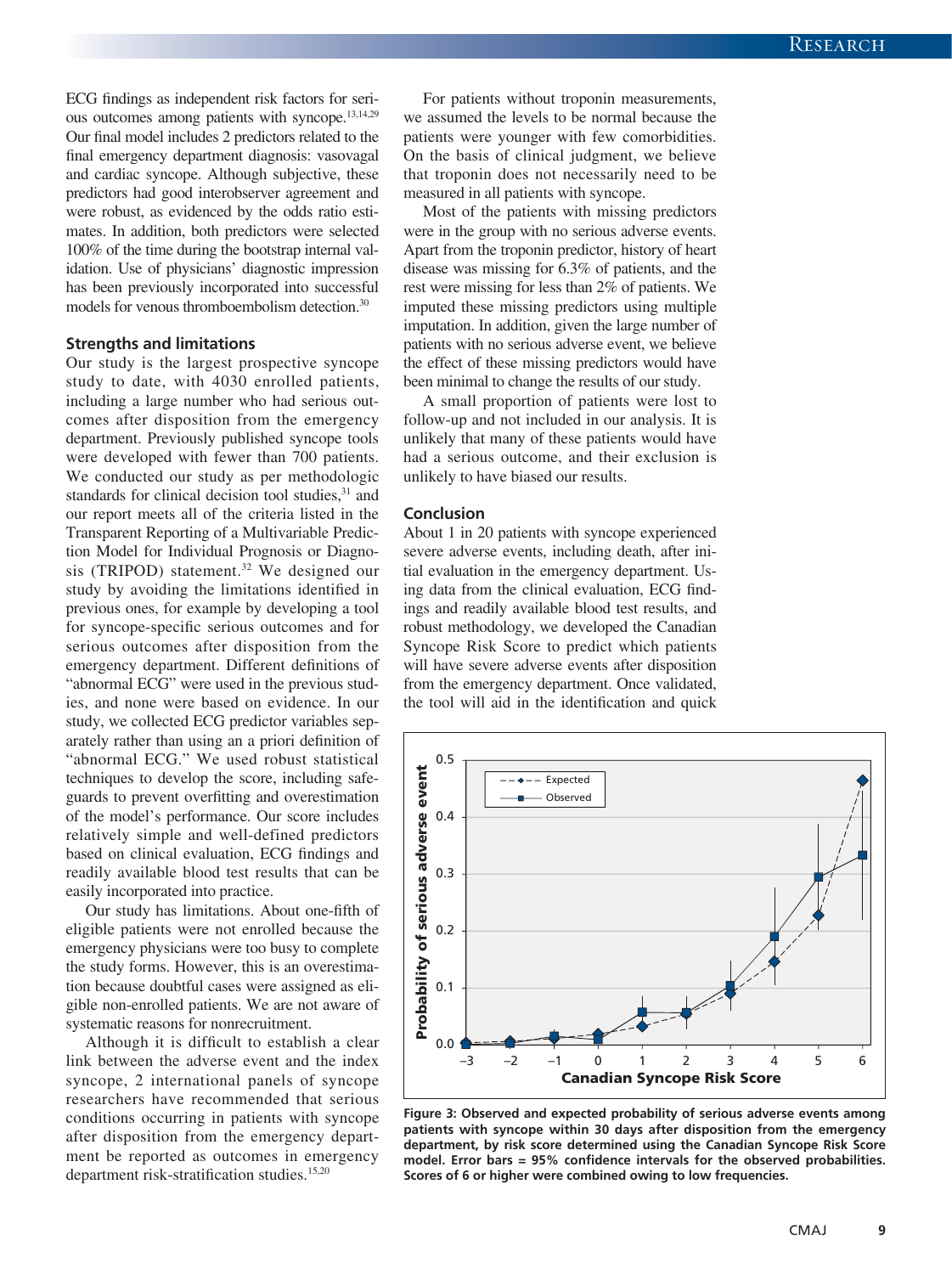ECG findings as independent risk factors for serious outcomes among patients with syncope.<sup>13,14,29</sup> Our final model includes 2 predictors related to the final emergency department diagnosis: vasovagal and cardiac syncope. Although subjective, these predictors had good interobserver agreement and were robust, as evidenced by the odds ratio estimates. In addition, both predictors were selected 100% of the time during the bootstrap internal validation. Use of physicians' diagnostic impression has been previously incorporated into successful models for venous thromboembolism detection.30

#### **Strengths and limitations**

Our study is the largest prospective syncope study to date, with 4030 enrolled patients, including a large number who had serious outcomes after disposition from the emergency department. Previously published syncope tools were developed with fewer than 700 patients. We conducted our study as per methodologic standards for clinical decision tool studies, $31$  and our report meets all of the criteria listed in the Transparent Reporting of a Multivariable Prediction Model for Individual Prognosis or Diagnosis (TRIPOD) statement.<sup>32</sup> We designed our study by avoiding the limitations identified in previous ones, for example by developing a tool for syncope-specific serious outcomes and for serious outcomes after disposition from the emergency department. Different definitions of "abnormal ECG" were used in the previous studies, and none were based on evidence. In our study, we collected ECG predictor variables separately rather than using an a priori definition of "abnormal ECG." We used robust statistical techniques to develop the score, including safeguards to prevent overfitting and overestimation of the model's performance. Our score includes relatively simple and well-defined predictors based on clinical evaluation, ECG findings and readily available blood test results that can be easily incorporated into practice.

Our study has limitations. About one-fifth of eligible patients were not enrolled because the emergency physicians were too busy to complete the study forms. However, this is an overestimation because doubtful cases were assigned as eligible non-enrolled patients. We are not aware of systematic reasons for nonrecruitment.

Although it is difficult to establish a clear link between the adverse event and the index syncope, 2 international panels of syncope researchers have recommended that serious conditions occurring in patients with syncope after disposition from the emergency department be reported as outcomes in emergency department risk-stratification studies.<sup>15,20</sup>

For patients without troponin measurements, we assumed the levels to be normal because the patients were younger with few comorbidities. On the basis of clinical judgment, we believe that troponin does not necessarily need to be measured in all patients with syncope.

Most of the patients with missing predictors were in the group with no serious adverse events. Apart from the troponin predictor, history of heart disease was missing for 6.3% of patients, and the rest were missing for less than 2% of patients. We imputed these missing predictors using multiple imputation. In addition, given the large number of patients with no serious adverse event, we believe the effect of these missing predictors would have been minimal to change the results of our study.

A small proportion of patients were lost to follow-up and not included in our analysis. It is unlikely that many of these patients would have had a serious outcome, and their exclusion is unlikely to have biased our results.

#### **Conclusion**

About 1 in 20 patients with syncope experienced severe adverse events, including death, after initial evaluation in the emergency department. Using data from the clinical evaluation, ECG findings and readily available blood test results, and robust methodology, we developed the Canadian Syncope Risk Score to predict which patients will have severe adverse events after disposition from the emergency department. Once validated, the tool will aid in the identification and quick



**Figure 3: Observed and expected probability of serious adverse events among patients with syncope within 30 days after disposition from the emergency department, by risk score determined using the Canadian Syncope Risk Score model. Error bars = 95% confidence intervals for the observed probabilities. Scores of 6 or higher were combined owing to low frequencies.**